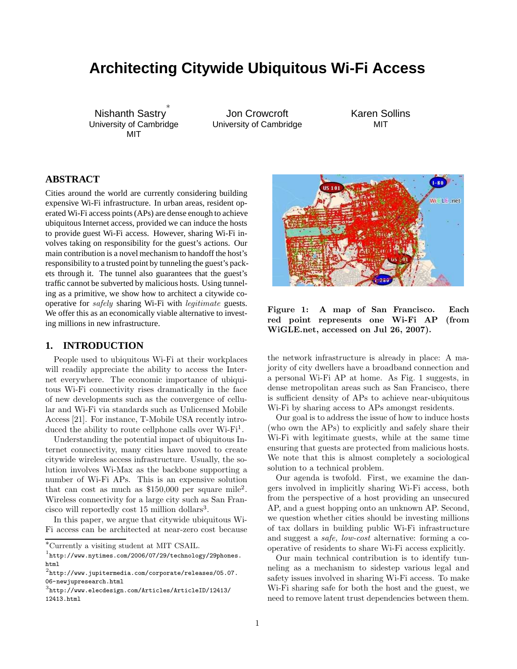# **Architecting Citywide Ubiquitous Wi-Fi Access**

Nishanth Sastry ∗ University of Cambridge MIT

Jon Crowcroft University of Cambridge Karen Sollins MIT

# **ABSTRACT**

Cities around the world are currently considering building expensive Wi-Fi infrastructure. In urban areas, resident operated Wi-Fi access points (APs) are dense enough to achieve ubiquitous Internet access, provided we can induce the hosts to provide guest Wi-Fi access. However, sharing Wi-Fi involves taking on responsibility for the guest's actions. Our main contribution is a novel mechanism to handoff the host's responsibility to a trusted point by tunneling the guest's packets through it. The tunnel also guarantees that the guest's traffic cannot be subverted by malicious hosts. Using tunneling as a primitive, we show how to architect a citywide cooperative for safely sharing Wi-Fi with legitimate guests. We offer this as an economically viable alternative to investing millions in new infrastructure.

## **1. INTRODUCTION**

People used to ubiquitous Wi-Fi at their workplaces will readily appreciate the ability to access the Internet everywhere. The economic importance of ubiquitous Wi-Fi connectivity rises dramatically in the face of new developments such as the convergence of cellular and Wi-Fi via standards such as Unlicensed Mobile Access [21]. For instance, T-Mobile USA recently introduced the ability to route cellphone calls over Wi-Fi<sup>1</sup>.

Understanding the potential impact of ubiquitous Internet connectivity, many cities have moved to create citywide wireless access infrastructure. Usually, the solution involves Wi-Max as the backbone supporting a number of Wi-Fi APs. This is an expensive solution that can cost as much as  $$150,000$  per square mile<sup>2</sup>. Wireless connectivity for a large city such as San Francisco will reportedly cost  $15$  million dollars<sup>3</sup>.

In this paper, we argue that citywide ubiquitous Wi-Fi access can be architected at near-zero cost because



Figure 1: A map of San Francisco. Each red point represents one Wi-Fi AP (from WiGLE.net, accessed on Jul 26, 2007).

the network infrastructure is already in place: A majority of city dwellers have a broadband connection and a personal Wi-Fi AP at home. As Fig. 1 suggests, in dense metropolitan areas such as San Francisco, there is sufficient density of APs to achieve near-ubiquitous Wi-Fi by sharing access to APs amongst residents.

Our goal is to address the issue of how to induce hosts (who own the APs) to explicitly and safely share their Wi-Fi with legitimate guests, while at the same time ensuring that guests are protected from malicious hosts. We note that this is almost completely a sociological solution to a technical problem.

Our agenda is twofold. First, we examine the dangers involved in implicitly sharing Wi-Fi access, both from the perspective of a host providing an unsecured AP, and a guest hopping onto an unknown AP. Second, we question whether cities should be investing millions of tax dollars in building public Wi-Fi infrastructure and suggest a safe, low-cost alternative: forming a cooperative of residents to share Wi-Fi access explicitly.

Our main technical contribution is to identify tunneling as a mechanism to sidestep various legal and safety issues involved in sharing Wi-Fi access. To make Wi-Fi sharing safe for both the host and the guest, we need to remove latent trust dependencies between them.

<sup>∗</sup>Currently a visiting student at MIT CSAIL.

<sup>1</sup> http://www.nytimes.com/2006/07/29/technology/29phones. html

 $^2$ http://www.jupitermedia.com/corporate/releases/05.07. 06-newjupresearch.html

<sup>3</sup> http://www.elecdesign.com/Articles/ArticleID/12413/ 12413.html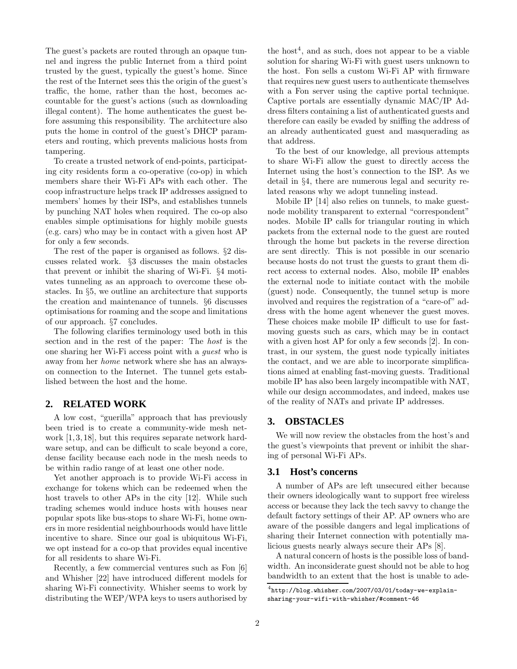The guest's packets are routed through an opaque tunnel and ingress the public Internet from a third point trusted by the guest, typically the guest's home. Since the rest of the Internet sees this the origin of the guest's traffic, the home, rather than the host, becomes accountable for the guest's actions (such as downloading illegal content). The home authenticates the guest before assuming this responsibility. The architecture also puts the home in control of the guest's DHCP parameters and routing, which prevents malicious hosts from tampering.

To create a trusted network of end-points, participating city residents form a co-operative (co-op) in which members share their Wi-Fi APs with each other. The coop infrastructure helps track IP addresses assigned to members' homes by their ISPs, and establishes tunnels by punching NAT holes when required. The co-op also enables simple optimisations for highly mobile guests (e.g. cars) who may be in contact with a given host AP for only a few seconds.

The rest of the paper is organised as follows. §2 discusses related work. §3 discusses the main obstacles that prevent or inhibit the sharing of Wi-Fi. §4 motivates tunneling as an approach to overcome these obstacles. In §5, we outline an architecture that supports the creation and maintenance of tunnels. §6 discusses optimisations for roaming and the scope and limitations of our approach. §7 concludes.

The following clarifies terminology used both in this section and in the rest of the paper: The host is the one sharing her Wi-Fi access point with a guest who is away from her home network where she has an alwayson connection to the Internet. The tunnel gets established between the host and the home.

# **2. RELATED WORK**

A low cost, "guerilla" approach that has previously been tried is to create a community-wide mesh network [1, 3, 18], but this requires separate network hardware setup, and can be difficult to scale beyond a core, dense facility because each node in the mesh needs to be within radio range of at least one other node.

Yet another approach is to provide Wi-Fi access in exchange for tokens which can be redeemed when the host travels to other APs in the city [12]. While such trading schemes would induce hosts with houses near popular spots like bus-stops to share Wi-Fi, home owners in more residential neighbourhoods would have little incentive to share. Since our goal is ubiquitous Wi-Fi, we opt instead for a co-op that provides equal incentive for all residents to share Wi-Fi.

Recently, a few commercial ventures such as Fon [6] and Whisher [22] have introduced different models for sharing Wi-Fi connectivity. Whisher seems to work by distributing the WEP/WPA keys to users authorised by

the host<sup>4</sup>, and as such, does not appear to be a viable solution for sharing Wi-Fi with guest users unknown to the host. Fon sells a custom Wi-Fi AP with firmware that requires new guest users to authenticate themselves with a Fon server using the captive portal technique. Captive portals are essentially dynamic MAC/IP Address filters containing a list of authenticated guests and therefore can easily be evaded by sniffing the address of an already authenticated guest and masquerading as that address.

To the best of our knowledge, all previous attempts to share Wi-Fi allow the guest to directly access the Internet using the host's connection to the ISP. As we detail in §4, there are numerous legal and security related reasons why we adopt tunneling instead.

Mobile IP [14] also relies on tunnels, to make guestnode mobility transparent to external "correspondent" nodes. Mobile IP calls for triangular routing in which packets from the external node to the guest are routed through the home but packets in the reverse direction are sent directly. This is not possible in our scenario because hosts do not trust the guests to grant them direct access to external nodes. Also, mobile IP enables the external node to initiate contact with the mobile (guest) node. Consequently, the tunnel setup is more involved and requires the registration of a "care-of" address with the home agent whenever the guest moves. These choices make mobile IP difficult to use for fastmoving guests such as cars, which may be in contact with a given host AP for only a few seconds [2]. In contrast, in our system, the guest node typically initiates the contact, and we are able to incorporate simplifications aimed at enabling fast-moving guests. Traditional mobile IP has also been largely incompatible with NAT, while our design accommodates, and indeed, makes use of the reality of NATs and private IP addresses.

## **3. OBSTACLES**

We will now review the obstacles from the host's and the guest's viewpoints that prevent or inhibit the sharing of personal Wi-Fi APs.

#### **3.1 Host's concerns**

A number of APs are left unsecured either because their owners ideologically want to support free wireless access or because they lack the tech savvy to change the default factory settings of their AP. AP owners who are aware of the possible dangers and legal implications of sharing their Internet connection with potentially malicious guests nearly always secure their APs [8].

A natural concern of hosts is the possible loss of bandwidth. An inconsiderate guest should not be able to hog bandwidth to an extent that the host is unable to ade-

 $^4$ http://blog.whisher.com/2007/03/01/today-we-explainsharing-your-wifi-with-whisher/#comment-46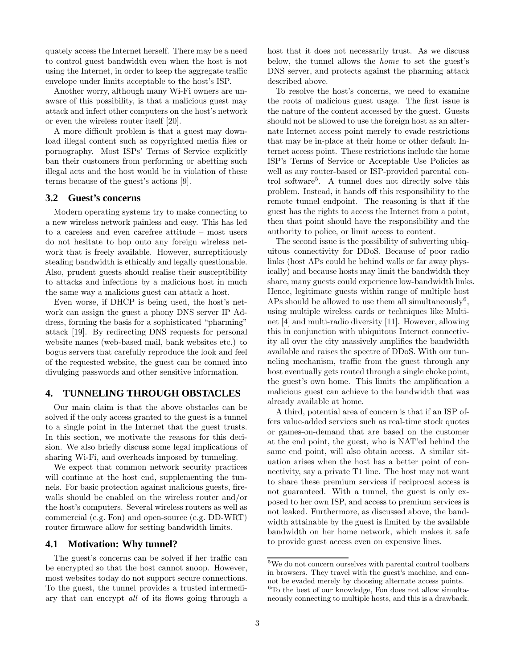quately access the Internet herself. There may be a need to control guest bandwidth even when the host is not using the Internet, in order to keep the aggregate traffic envelope under limits acceptable to the host's ISP.

Another worry, although many Wi-Fi owners are unaware of this possibility, is that a malicious guest may attack and infect other computers on the host's network or even the wireless router itself [20].

A more difficult problem is that a guest may download illegal content such as copyrighted media files or pornography. Most ISPs' Terms of Service explicitly ban their customers from performing or abetting such illegal acts and the host would be in violation of these terms because of the guest's actions [9].

#### **3.2 Guest's concerns**

Modern operating systems try to make connecting to a new wireless network painless and easy. This has led to a careless and even carefree attitude – most users do not hesitate to hop onto any foreign wireless network that is freely available. However, surreptitiously stealing bandwidth is ethically and legally questionable. Also, prudent guests should realise their susceptibility to attacks and infections by a malicious host in much the same way a malicious guest can attack a host.

Even worse, if DHCP is being used, the host's network can assign the guest a phony DNS server IP Address, forming the basis for a sophisticated "pharming" attack [19]. By redirecting DNS requests for personal website names (web-based mail, bank websites etc.) to bogus servers that carefully reproduce the look and feel of the requested website, the guest can be conned into divulging passwords and other sensitive information.

#### **4. TUNNELING THROUGH OBSTACLES**

Our main claim is that the above obstacles can be solved if the only access granted to the guest is a tunnel to a single point in the Internet that the guest trusts. In this section, we motivate the reasons for this decision. We also briefly discuss some legal implications of sharing Wi-Fi, and overheads imposed by tunneling.

We expect that common network security practices will continue at the host end, supplementing the tunnels. For basic protection against malicious guests, firewalls should be enabled on the wireless router and/or the host's computers. Several wireless routers as well as commercial (e.g. Fon) and open-source (e.g. DD-WRT) router firmware allow for setting bandwidth limits.

## **4.1 Motivation: Why tunnel?**

The guest's concerns can be solved if her traffic can be encrypted so that the host cannot snoop. However, most websites today do not support secure connections. To the guest, the tunnel provides a trusted intermediary that can encrypt all of its flows going through a host that it does not necessarily trust. As we discuss below, the tunnel allows the home to set the guest's DNS server, and protects against the pharming attack described above.

To resolve the host's concerns, we need to examine the roots of malicious guest usage. The first issue is the nature of the content accessed by the guest. Guests should not be allowed to use the foreign host as an alternate Internet access point merely to evade restrictions that may be in-place at their home or other default Internet access point. These restrictions include the home ISP's Terms of Service or Acceptable Use Policies as well as any router-based or ISP-provided parental control software<sup>5</sup> . A tunnel does not directly solve this problem. Instead, it hands off this responsibility to the remote tunnel endpoint. The reasoning is that if the guest has the rights to access the Internet from a point, then that point should have the responsibility and the authority to police, or limit access to content.

The second issue is the possibility of subverting ubiquitous connectivity for DDoS. Because of poor radio links (host APs could be behind walls or far away physically) and because hosts may limit the bandwidth they share, many guests could experience low-bandwidth links. Hence, legitimate guests within range of multiple host APs should be allowed to use them all simultaneously<sup>6</sup>, using multiple wireless cards or techniques like Multinet [4] and multi-radio diversity [11]. However, allowing this in conjunction with ubiquitous Internet connectivity all over the city massively amplifies the bandwidth available and raises the spectre of DDoS. With our tunneling mechanism, traffic from the guest through any host eventually gets routed through a single choke point, the guest's own home. This limits the amplification a malicious guest can achieve to the bandwidth that was already available at home.

A third, potential area of concern is that if an ISP offers value-added services such as real-time stock quotes or games-on-demand that are based on the customer at the end point, the guest, who is NAT'ed behind the same end point, will also obtain access. A similar situation arises when the host has a better point of connectivity, say a private T1 line. The host may not want to share these premium services if reciprocal access is not guaranteed. With a tunnel, the guest is only exposed to her own ISP, and access to premium services is not leaked. Furthermore, as discussed above, the bandwidth attainable by the guest is limited by the available bandwidth on her home network, which makes it safe to provide guest access even on expensive lines.

<sup>5</sup>We do not concern ourselves with parental control toolbars in browsers. They travel with the guest's machine, and cannot be evaded merely by choosing alternate access points. <sup>6</sup>To the best of our knowledge, Fon does not allow simultaneously connecting to multiple hosts, and this is a drawback.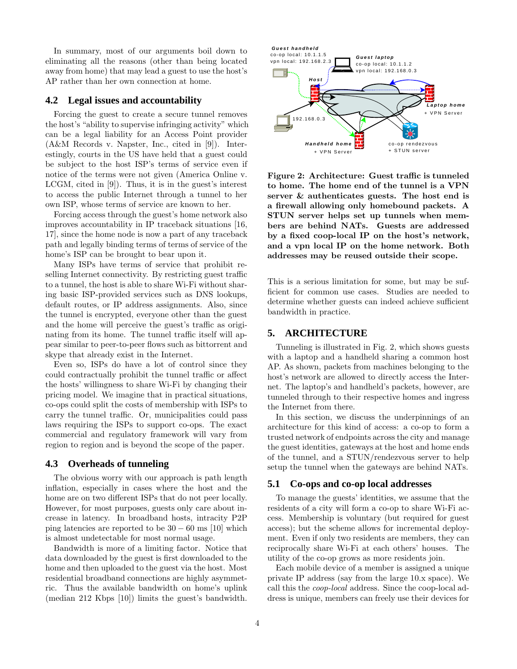In summary, most of our arguments boil down to eliminating all the reasons (other than being located away from home) that may lead a guest to use the host's AP rather than her own connection at home.

#### **4.2 Legal issues and accountability**

Forcing the guest to create a secure tunnel removes the host's "ability to supervise infringing activity" which can be a legal liability for an Access Point provider (A&M Records v. Napster, Inc., cited in [9]). Interestingly, courts in the US have held that a guest could be subject to the host ISP's terms of service even if notice of the terms were not given (America Online v. LCGM, cited in [9]). Thus, it is in the guest's interest to access the public Internet through a tunnel to her own ISP, whose terms of service are known to her.

Forcing access through the guest's home network also improves accountability in IP traceback situations [16, 17], since the home node is now a part of any traceback path and legally binding terms of terms of service of the home's ISP can be brought to bear upon it.

Many ISPs have terms of service that prohibit reselling Internet connectivity. By restricting guest traffic to a tunnel, the host is able to share Wi-Fi without sharing basic ISP-provided services such as DNS lookups, default routes, or IP address assignments. Also, since the tunnel is encrypted, everyone other than the guest and the home will perceive the guest's traffic as originating from its home. The tunnel traffic itself will appear similar to peer-to-peer flows such as bittorrent and skype that already exist in the Internet.

Even so, ISPs do have a lot of control since they could contractually prohibit the tunnel traffic or affect the hosts' willingness to share Wi-Fi by changing their pricing model. We imagine that in practical situations, co-ops could split the costs of membership with ISPs to carry the tunnel traffic. Or, municipalities could pass laws requiring the ISPs to support co-ops. The exact commercial and regulatory framework will vary from region to region and is beyond the scope of the paper.

#### **4.3 Overheads of tunneling**

The obvious worry with our approach is path length inflation, especially in cases where the host and the home are on two different ISPs that do not peer locally. However, for most purposes, guests only care about increase in latency. In broadband hosts, intracity P2P ping latencies are reported to be  $30 - 60$  ms [10] which is almost undetectable for most normal usage.

Bandwidth is more of a limiting factor. Notice that data downloaded by the guest is first downloaded to the home and then uploaded to the guest via the host. Most residential broadband connections are highly asymmetric. Thus the available bandwidth on home's uplink (median 212 Kbps [10]) limits the guest's bandwidth.



Figure 2: Architecture: Guest traffic is tunneled to home. The home end of the tunnel is a VPN server & authenticates guests. The host end is a firewall allowing only homebound packets. A STUN server helps set up tunnels when members are behind NATs. Guests are addressed by a fixed coop-local IP on the host's network, and a vpn local IP on the home network. Both addresses may be reused outside their scope.

This is a serious limitation for some, but may be sufficient for common use cases. Studies are needed to determine whether guests can indeed achieve sufficient bandwidth in practice.

#### **5. ARCHITECTURE**

Tunneling is illustrated in Fig. 2, which shows guests with a laptop and a handheld sharing a common host AP. As shown, packets from machines belonging to the host's network are allowed to directly access the Internet. The laptop's and handheld's packets, however, are tunneled through to their respective homes and ingress the Internet from there.

In this section, we discuss the underpinnings of an architecture for this kind of access: a co-op to form a trusted network of endpoints across the city and manage the guest identities, gateways at the host and home ends of the tunnel, and a STUN/rendezvous server to help setup the tunnel when the gateways are behind NATs.

#### **5.1 Co-ops and co-op local addresses**

To manage the guests' identities, we assume that the residents of a city will form a co-op to share Wi-Fi access. Membership is voluntary (but required for guest access); but the scheme allows for incremental deployment. Even if only two residents are members, they can reciprocally share Wi-Fi at each others' houses. The utility of the co-op grows as more residents join.

Each mobile device of a member is assigned a unique private IP address (say from the large 10.x space). We call this the coop-local address. Since the coop-local address is unique, members can freely use their devices for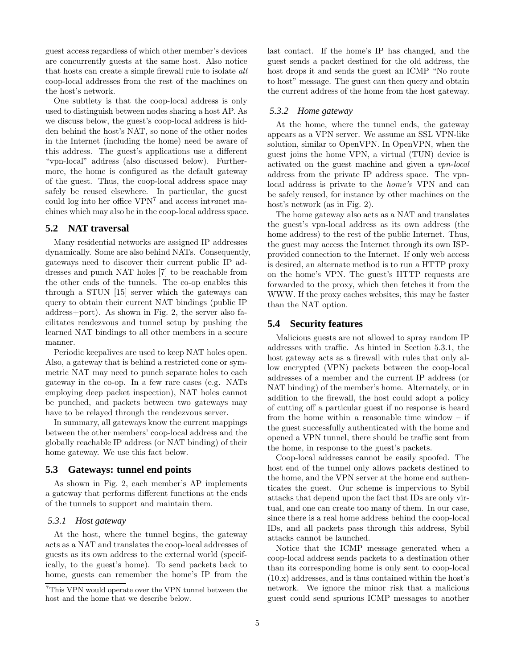guest access regardless of which other member's devices are concurrently guests at the same host. Also notice that hosts can create a simple firewall rule to isolate all coop-local addresses from the rest of the machines on the host's network.

One subtlety is that the coop-local address is only used to distinguish between nodes sharing a host AP. As we discuss below, the guest's coop-local address is hidden behind the host's NAT, so none of the other nodes in the Internet (including the home) need be aware of this address. The guest's applications use a different "vpn-local" address (also discussed below). Furthermore, the home is configured as the default gateway of the guest. Thus, the coop-local address space may safely be reused elsewhere. In particular, the guest could log into her office VPN<sup>7</sup> and access intranet machines which may also be in the coop-local address space.

### **5.2 NAT traversal**

Many residential networks are assigned IP addresses dynamically. Some are also behind NATs. Consequently, gateways need to discover their current public IP addresses and punch NAT holes [7] to be reachable from the other ends of the tunnels. The co-op enables this through a STUN [15] server which the gateways can query to obtain their current NAT bindings (public IP address+port). As shown in Fig. 2, the server also facilitates rendezvous and tunnel setup by pushing the learned NAT bindings to all other members in a secure manner.

Periodic keepalives are used to keep NAT holes open. Also, a gateway that is behind a restricted cone or symmetric NAT may need to punch separate holes to each gateway in the co-op. In a few rare cases (e.g. NATs employing deep packet inspection), NAT holes cannot be punched, and packets between two gateways may have to be relayed through the rendezvous server.

In summary, all gateways know the current mappings between the other members' coop-local address and the globally reachable IP address (or NAT binding) of their home gateway. We use this fact below.

#### **5.3 Gateways: tunnel end points**

As shown in Fig. 2, each member's AP implements a gateway that performs different functions at the ends of the tunnels to support and maintain them.

#### *5.3.1 Host gateway*

At the host, where the tunnel begins, the gateway acts as a NAT and translates the coop-local addresses of guests as its own address to the external world (specifically, to the guest's home). To send packets back to home, guests can remember the home's IP from the

last contact. If the home's IP has changed, and the guest sends a packet destined for the old address, the host drops it and sends the guest an ICMP "No route to host" message. The guest can then query and obtain the current address of the home from the host gateway.

#### *5.3.2 Home gateway*

At the home, where the tunnel ends, the gateway appears as a VPN server. We assume an SSL VPN-like solution, similar to OpenVPN. In OpenVPN, when the guest joins the home VPN, a virtual (TUN) device is activated on the guest machine and given a vpn-local address from the private IP address space. The vpnlocal address is private to the home's VPN and can be safely reused, for instance by other machines on the host's network (as in Fig. 2).

The home gateway also acts as a NAT and translates the guest's vpn-local address as its own address (the home address) to the rest of the public Internet. Thus, the guest may access the Internet through its own ISPprovided connection to the Internet. If only web access is desired, an alternate method is to run a HTTP proxy on the home's VPN. The guest's HTTP requests are forwarded to the proxy, which then fetches it from the WWW. If the proxy caches websites, this may be faster than the NAT option.

#### **5.4 Security features**

Malicious guests are not allowed to spray random IP addresses with traffic. As hinted in Section 5.3.1, the host gateway acts as a firewall with rules that only allow encrypted (VPN) packets between the coop-local addresses of a member and the current IP address (or NAT binding) of the member's home. Alternately, or in addition to the firewall, the host could adopt a policy of cutting off a particular guest if no response is heard from the home within a reasonable time window – if the guest successfully authenticated with the home and opened a VPN tunnel, there should be traffic sent from the home, in response to the guest's packets.

Coop-local addresses cannot be easily spoofed. The host end of the tunnel only allows packets destined to the home, and the VPN server at the home end authenticates the guest. Our scheme is impervious to Sybil attacks that depend upon the fact that IDs are only virtual, and one can create too many of them. In our case, since there is a real home address behind the coop-local IDs, and all packets pass through this address, Sybil attacks cannot be launched.

Notice that the ICMP message generated when a coop-local address sends packets to a destination other than its corresponding home is only sent to coop-local (10.x) addresses, and is thus contained within the host's network. We ignore the minor risk that a malicious guest could send spurious ICMP messages to another

<sup>7</sup>This VPN would operate over the VPN tunnel between the host and the home that we describe below.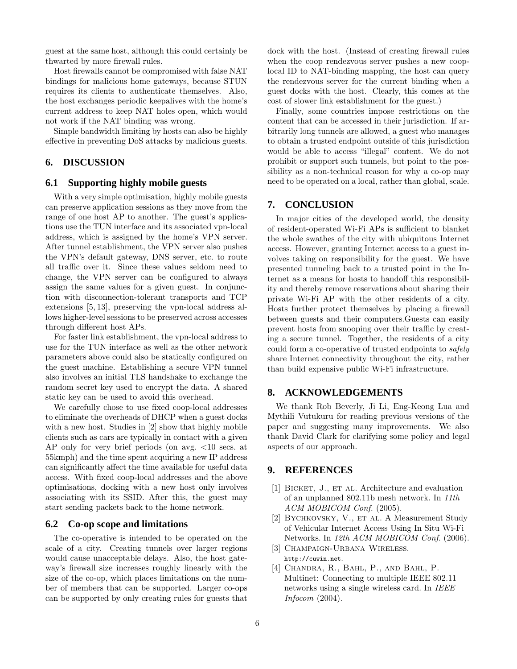guest at the same host, although this could certainly be thwarted by more firewall rules.

Host firewalls cannot be compromised with false NAT bindings for malicious home gateways, because STUN requires its clients to authenticate themselves. Also, the host exchanges periodic keepalives with the home's current address to keep NAT holes open, which would not work if the NAT binding was wrong.

Simple bandwidth limiting by hosts can also be highly effective in preventing DoS attacks by malicious guests.

# **6. DISCUSSION**

## **6.1 Supporting highly mobile guests**

With a very simple optimisation, highly mobile guests can preserve application sessions as they move from the range of one host AP to another. The guest's applications use the TUN interface and its associated vpn-local address, which is assigned by the home's VPN server. After tunnel establishment, the VPN server also pushes the VPN's default gateway, DNS server, etc. to route all traffic over it. Since these values seldom need to change, the VPN server can be configured to always assign the same values for a given guest. In conjunction with disconnection-tolerant transports and TCP extensions [5, 13], preserving the vpn-local address allows higher-level sessions to be preserved across accesses through different host APs.

For faster link establishment, the vpn-local address to use for the TUN interface as well as the other network parameters above could also be statically configured on the guest machine. Establishing a secure VPN tunnel also involves an initial TLS handshake to exchange the random secret key used to encrypt the data. A shared static key can be used to avoid this overhead.

We carefully chose to use fixed coop-local addresses to eliminate the overheads of DHCP when a guest docks with a new host. Studies in [2] show that highly mobile clients such as cars are typically in contact with a given AP only for very brief periods (on avg. <10 secs. at 55kmph) and the time spent acquiring a new IP address can significantly affect the time available for useful data access. With fixed coop-local addresses and the above optimisations, docking with a new host only involves associating with its SSID. After this, the guest may start sending packets back to the home network.

## **6.2 Co-op scope and limitations**

The co-operative is intended to be operated on the scale of a city. Creating tunnels over larger regions would cause unacceptable delays. Also, the host gateway's firewall size increases roughly linearly with the size of the co-op, which places limitations on the number of members that can be supported. Larger co-ops can be supported by only creating rules for guests that

dock with the host. (Instead of creating firewall rules when the coop rendezvous server pushes a new cooplocal ID to NAT-binding mapping, the host can query the rendezvous server for the current binding when a guest docks with the host. Clearly, this comes at the cost of slower link establishment for the guest.)

Finally, some countries impose restrictions on the content that can be accessed in their jurisdiction. If arbitrarily long tunnels are allowed, a guest who manages to obtain a trusted endpoint outside of this jurisdiction would be able to access "illegal" content. We do not prohibit or support such tunnels, but point to the possibility as a non-technical reason for why a co-op may need to be operated on a local, rather than global, scale.

## **7. CONCLUSION**

In major cities of the developed world, the density of resident-operated Wi-Fi APs is sufficient to blanket the whole swathes of the city with ubiquitous Internet access. However, granting Internet access to a guest involves taking on responsibility for the guest. We have presented tunneling back to a trusted point in the Internet as a means for hosts to handoff this responsibility and thereby remove reservations about sharing their private Wi-Fi AP with the other residents of a city. Hosts further protect themselves by placing a firewall between guests and their computers.Guests can easily prevent hosts from snooping over their traffic by creating a secure tunnel. Together, the residents of a city could form a co-operative of trusted endpoints to safely share Internet connectivity throughout the city, rather than build expensive public Wi-Fi infrastructure.

## **8. ACKNOWLEDGEMENTS**

We thank Rob Beverly, Ji Li, Eng-Keong Lua and Mythili Vutukuru for reading previous versions of the paper and suggesting many improvements. We also thank David Clark for clarifying some policy and legal aspects of our approach.

## **9. REFERENCES**

- [1] BICKET, J., ET AL. Architecture and evaluation of an unplanned 802.11b mesh network. In 11th ACM MOBICOM Conf. (2005).
- [2] BYCHKOVSKY, V., ET AL. A Measurement Study of Vehicular Internet Access Using In Situ Wi-Fi Networks. In 12th ACM MOBICOM Conf. (2006).
- [3] Champaign-Urbana Wireless. http://cuwin.net.
- [4] Chandra, R., Bahl, P., and Bahl, P. Multinet: Connecting to multiple IEEE 802.11 networks using a single wireless card. In IEEE Infocom (2004).